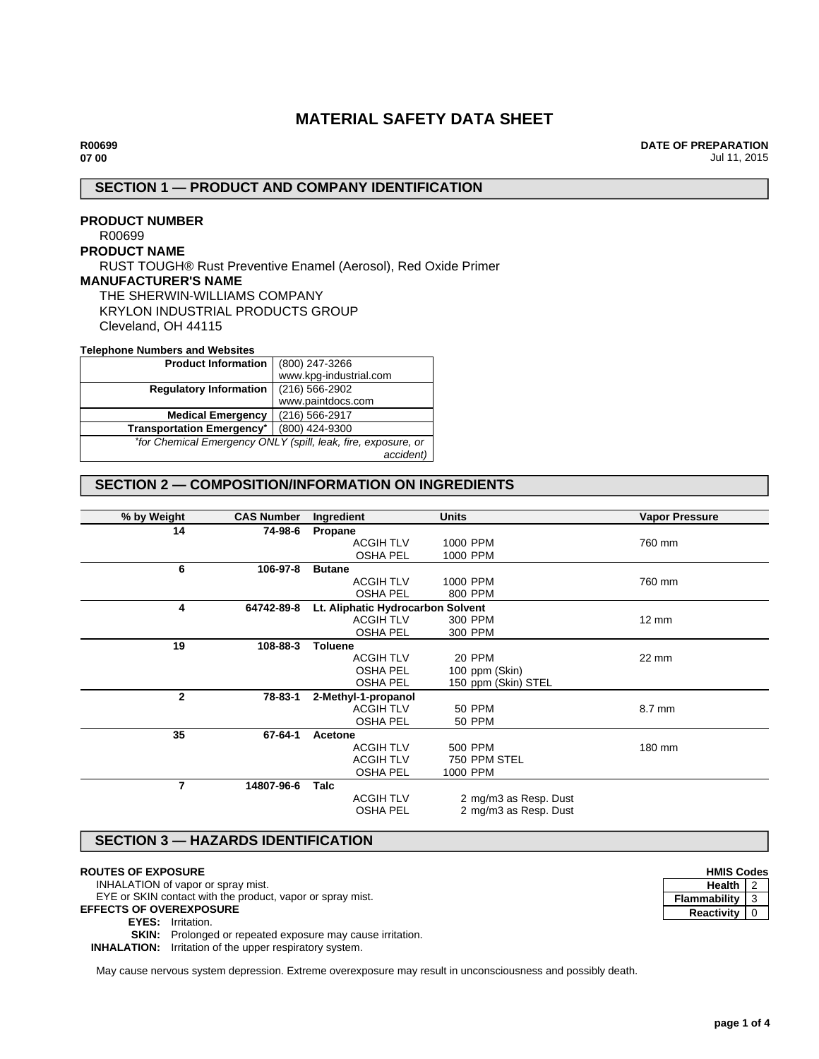# **MATERIAL SAFETY DATA SHEET**

**DATE OF PREPARATION** Jul 11, 2015

# **SECTION 1 — PRODUCT AND COMPANY IDENTIFICATION**

## **PRODUCT NUMBER** R00699 **PRODUCT NAME** RUST TOUGH® Rust Preventive Enamel (Aerosol), Red Oxide Primer **MANUFACTURER'S NAME** THE SHERWIN-WILLIAMS COMPANY KRYLON INDUSTRIAL PRODUCTS GROUP Cleveland, OH 44115

#### **Telephone Numbers and Websites**

| <b>Product Information</b>       | (800) 247-3266                                                |  |  |
|----------------------------------|---------------------------------------------------------------|--|--|
|                                  | www.kpg-industrial.com                                        |  |  |
| <b>Regulatory Information</b>    | $(216)$ 566-2902                                              |  |  |
|                                  | www.paintdocs.com                                             |  |  |
| <b>Medical Emergency</b>         | (216) 566-2917                                                |  |  |
| <b>Transportation Emergency*</b> | (800) 424-9300                                                |  |  |
|                                  | *for Chemical Emergency ONLY (spill, leak, fire, exposure, or |  |  |
|                                  | accident)                                                     |  |  |

## **SECTION 2 — COMPOSITION/INFORMATION ON INGREDIENTS**

| % by Weight    | <b>CAS Number</b> | Ingredient                        | <b>Units</b>          | <b>Vapor Pressure</b> |
|----------------|-------------------|-----------------------------------|-----------------------|-----------------------|
| 14             | 74-98-6           | Propane                           |                       |                       |
|                |                   | <b>ACGIH TLV</b>                  | 1000 PPM              | 760 mm                |
|                |                   | <b>OSHA PEL</b>                   | 1000 PPM              |                       |
| 6              | 106-97-8          | <b>Butane</b>                     |                       |                       |
|                |                   | <b>ACGIH TLV</b>                  | 1000 PPM              | 760 mm                |
|                |                   | <b>OSHA PEL</b>                   | 800 PPM               |                       |
| 4              | 64742-89-8        | Lt. Aliphatic Hydrocarbon Solvent |                       |                       |
|                |                   | <b>ACGIH TLV</b>                  | 300 PPM               | $12 \text{ mm}$       |
|                |                   | <b>OSHA PEL</b>                   | 300 PPM               |                       |
| 19             | 108-88-3          | <b>Toluene</b>                    |                       |                       |
|                |                   | <b>ACGIH TLV</b>                  | <b>20 PPM</b>         | 22 mm                 |
|                |                   | <b>OSHA PEL</b>                   | 100 ppm (Skin)        |                       |
|                |                   | <b>OSHA PEL</b>                   | 150 ppm (Skin) STEL   |                       |
| $\overline{2}$ | 78-83-1           | 2-Methyl-1-propanol               |                       |                       |
|                |                   | <b>ACGIH TLV</b>                  | <b>50 PPM</b>         | 8.7 mm                |
|                |                   | <b>OSHA PEL</b>                   | <b>50 PPM</b>         |                       |
| 35             | 67-64-1           | Acetone                           |                       |                       |
|                |                   | <b>ACGIH TLV</b>                  | <b>500 PPM</b>        | 180 mm                |
|                |                   | <b>ACGIH TLV</b>                  | 750 PPM STEL          |                       |
|                |                   | <b>OSHA PEL</b>                   | 1000 PPM              |                       |
| 7              | 14807-96-6        | Talc                              |                       |                       |
|                |                   | <b>ACGIH TLV</b>                  | 2 mg/m3 as Resp. Dust |                       |
|                |                   | <b>OSHA PEL</b>                   | 2 mg/m3 as Resp. Dust |                       |
|                |                   |                                   |                       |                       |

# **SECTION 3 — HAZARDS IDENTIFICATION**

### **ROUTES OF EXPOSURE**

INHALATION of vapor or spray mist.

EYE or SKIN contact with the product, vapor or spray mist.

# **EFFECTS OF OVEREXPOSURE**

**EYES:** Irritation.

**SKIN:** Prolonged or repeated exposure may cause irritation.

**INHALATION:** Irritation of the upper respiratory system.

May cause nervous system depression. Extreme overexposure may result in unconsciousness and possibly death.

| <b>HMIS Codes</b> |  |  |
|-------------------|--|--|
| <b>Health</b>     |  |  |
| Flammability      |  |  |
| Reactivity        |  |  |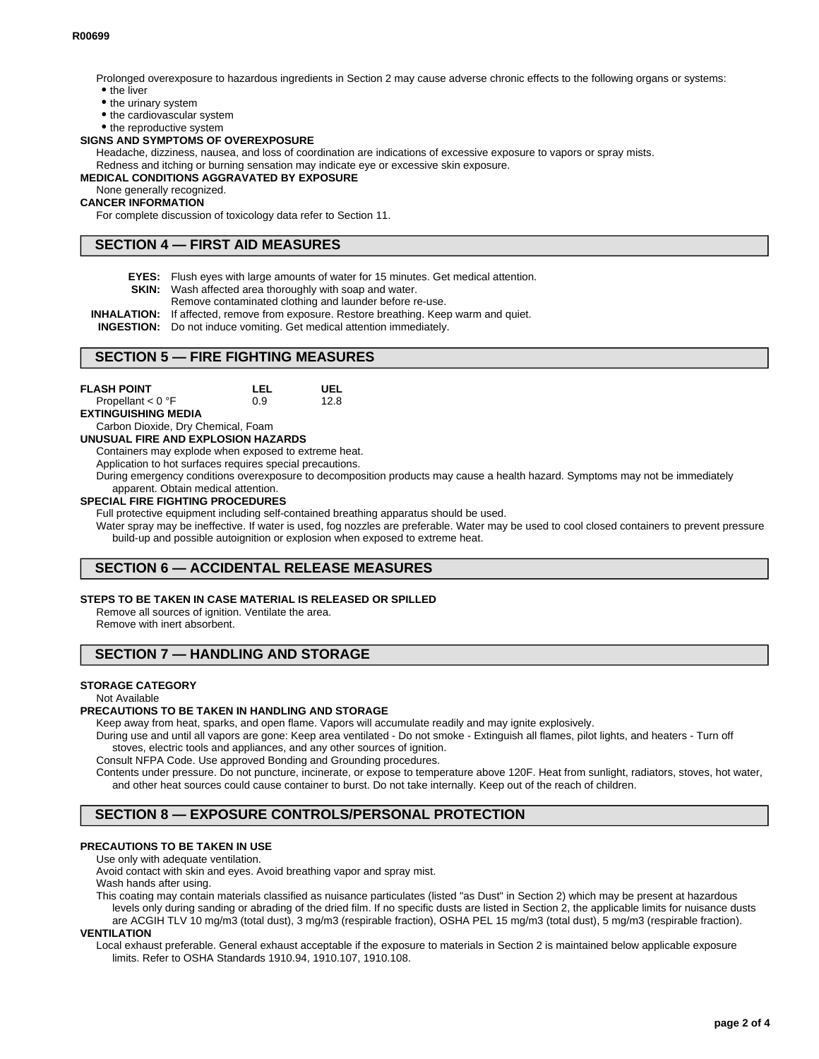Prolonged overexposure to hazardous ingredients in Section 2 may cause adverse chronic effects to the following organs or systems: • the liver

- the urinary system
- the cardiovascular system
- the reproductive system

#### **SIGNS AND SYMPTOMS OF OVEREXPOSURE**

Headache, dizziness, nausea, and loss of coordination are indications of excessive exposure to vapors or spray mists. Redness and itching or burning sensation may indicate eye or excessive skin exposure.

## **MEDICAL CONDITIONS AGGRAVATED BY EXPOSURE**

None generally recognized.

#### **CANCER INFORMATION**

For complete discussion of toxicology data refer to Section 11.

## **SECTION 4 — FIRST AID MEASURES**

- **EYES:** Flush eyes with large amounts of water for 15 minutes. Get medical attention.
- **SKIN:** Wash affected area thoroughly with soap and water.
	- Remove contaminated clothing and launder before re-use.

**INHALATION:** If affected, remove from exposure. Restore breathing. Keep warm and quiet.

**INGESTION:** Do not induce vomiting. Get medical attention immediately.

## **SECTION 5 — FIRE FIGHTING MEASURES**

| <b>FLASH POINT</b>  | LEL | UEL  |
|---------------------|-----|------|
| Propellant $< 0$ °F | 0.9 | 12.8 |

**EXTINGUISHING MEDIA**

Carbon Dioxide, Dry Chemical, Foam

#### **UNUSUAL FIRE AND EXPLOSION HAZARDS**

Containers may explode when exposed to extreme heat.

Application to hot surfaces requires special precautions.

During emergency conditions overexposure to decomposition products may cause a health hazard. Symptoms may not be immediately apparent. Obtain medical attention.

### **SPECIAL FIRE FIGHTING PROCEDURES**

Full protective equipment including self-contained breathing apparatus should be used.

Water spray may be ineffective. If water is used, fog nozzles are preferable. Water may be used to cool closed containers to prevent pressure build-up and possible autoignition or explosion when exposed to extreme heat.

## **SECTION 6 — ACCIDENTAL RELEASE MEASURES**

### **STEPS TO BE TAKEN IN CASE MATERIAL IS RELEASED OR SPILLED**

Remove all sources of ignition. Ventilate the area.

Remove with inert absorbent.

## **SECTION 7 — HANDLING AND STORAGE**

### **STORAGE CATEGORY**

Not Available

### **PRECAUTIONS TO BE TAKEN IN HANDLING AND STORAGE**

Keep away from heat, sparks, and open flame. Vapors will accumulate readily and may ignite explosively.

During use and until all vapors are gone: Keep area ventilated - Do not smoke - Extinguish all flames, pilot lights, and heaters - Turn off stoves, electric tools and appliances, and any other sources of ignition.

Consult NFPA Code. Use approved Bonding and Grounding procedures.

Contents under pressure. Do not puncture, incinerate, or expose to temperature above 120F. Heat from sunlight, radiators, stoves, hot water, and other heat sources could cause container to burst. Do not take internally. Keep out of the reach of children.

## **SECTION 8 — EXPOSURE CONTROLS/PERSONAL PROTECTION**

### **PRECAUTIONS TO BE TAKEN IN USE**

#### Use only with adequate ventilation.

Avoid contact with skin and eyes. Avoid breathing vapor and spray mist.

Wash hands after using.

This coating may contain materials classified as nuisance particulates (listed "as Dust" in Section 2) which may be present at hazardous levels only during sanding or abrading of the dried film. If no specific dusts are listed in Section 2, the applicable limits for nuisance dusts are ACGIH TLV 10 mg/m3 (total dust), 3 mg/m3 (respirable fraction), OSHA PEL 15 mg/m3 (total dust), 5 mg/m3 (respirable fraction).

#### **VENTILATION**

Local exhaust preferable. General exhaust acceptable if the exposure to materials in Section 2 is maintained below applicable exposure limits. Refer to OSHA Standards 1910.94, 1910.107, 1910.108.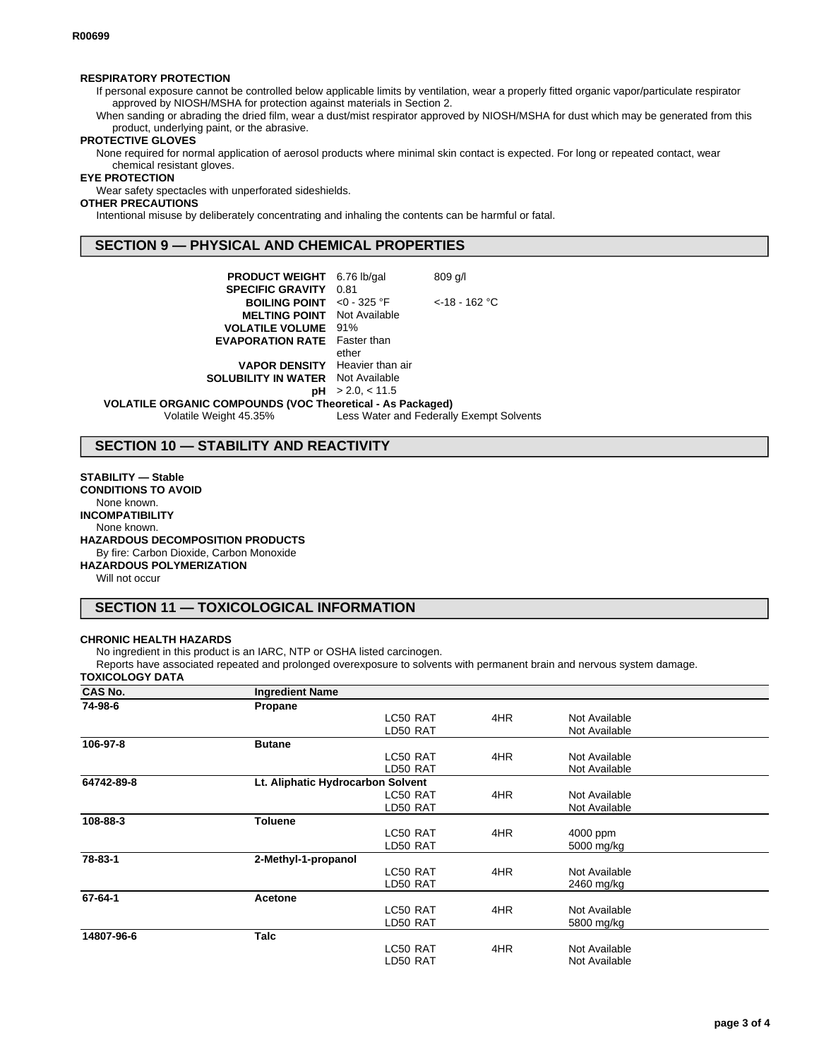### **RESPIRATORY PROTECTION**

If personal exposure cannot be controlled below applicable limits by ventilation, wear a properly fitted organic vapor/particulate respirator approved by NIOSH/MSHA for protection against materials in Section 2.

When sanding or abrading the dried film, wear a dust/mist respirator approved by NIOSH/MSHA for dust which may be generated from this product, underlying paint, or the abrasive.

#### **PROTECTIVE GLOVES**

None required for normal application of aerosol products where minimal skin contact is expected. For long or repeated contact, wear chemical resistant gloves.

#### **EYE PROTECTION**

Wear safety spectacles with unperforated sideshields.

## **OTHER PRECAUTIONS**

Intentional misuse by deliberately concentrating and inhaling the contents can be harmful or fatal.

## **SECTION 9 — PHYSICAL AND CHEMICAL PROPERTIES**

| <b>PRODUCT WEIGHT</b>                     | $6.76$ lb/gal  | 809q/1        |
|-------------------------------------------|----------------|---------------|
| <b>SPECIFIC GRAVITY</b>                   | 0.81           |               |
| <b>BOILING POINT</b>                      | $< 0 - 325$ °F | <-18 - 162 °C |
| <b>MELTING POINT</b>                      | Not Available  |               |
| <b>VOLATILE VOLUME</b>                    | 91%            |               |
| <b>EVAPORATION RATE</b>                   | Faster than    |               |
|                                           | ether          |               |
| <b>VAPOR DENSITY</b> Heavier than air     |                |               |
| <b>SOLUBILITY IN WATER</b> Not Available  |                |               |
| pН                                        | > 2.0, < 11.5  |               |
| COMPOUNDS (VOC Theoretical - As Packaged) |                |               |

**VOLATILE ORGANIC CO** Volatile Weight 45.35% Less Water and Federally Exempt Solvents

## **SECTION 10 — STABILITY AND REACTIVITY**

#### **STABILITY — Stable**

**CONDITIONS TO AVOID** None known. **INCOMPATIBILITY** None known. **HAZARDOUS DECOMPOSITION PRODUCTS** By fire: Carbon Dioxide, Carbon Monoxide **HAZARDOUS POLYMERIZATION**

Will not occur

# **SECTION 11 — TOXICOLOGICAL INFORMATION**

### **CHRONIC HEALTH HAZARDS**

No ingredient in this product is an IARC, NTP or OSHA listed carcinogen.

Reports have associated repeated and prolonged overexposure to solvents with permanent brain and nervous system damage. **TOXICOLOGY DATA**

| <b>CAS No.</b> | <b>Ingredient Name</b>            |          |     |               |  |
|----------------|-----------------------------------|----------|-----|---------------|--|
| 74-98-6        | Propane                           |          |     |               |  |
|                |                                   | LC50 RAT | 4HR | Not Available |  |
|                |                                   | LD50 RAT |     | Not Available |  |
| 106-97-8       | <b>Butane</b>                     |          |     |               |  |
|                |                                   | LC50 RAT | 4HR | Not Available |  |
|                |                                   | LD50 RAT |     | Not Available |  |
| 64742-89-8     | Lt. Aliphatic Hydrocarbon Solvent |          |     |               |  |
|                |                                   | LC50 RAT | 4HR | Not Available |  |
|                |                                   | LD50 RAT |     | Not Available |  |
| 108-88-3       | <b>Toluene</b>                    |          |     |               |  |
|                |                                   | LC50 RAT | 4HR | 4000 ppm      |  |
|                |                                   | LD50 RAT |     | 5000 mg/kg    |  |
| 78-83-1        | 2-Methyl-1-propanol               |          |     |               |  |
|                |                                   | LC50 RAT | 4HR | Not Available |  |
|                |                                   | LD50 RAT |     | 2460 mg/kg    |  |
| 67-64-1        | Acetone                           |          |     |               |  |
|                |                                   | LC50 RAT | 4HR | Not Available |  |
|                |                                   | LD50 RAT |     | 5800 mg/kg    |  |
| 14807-96-6     | <b>Talc</b>                       |          |     |               |  |
|                |                                   | LC50 RAT | 4HR | Not Available |  |
|                |                                   | LD50 RAT |     | Not Available |  |
|                |                                   |          |     |               |  |